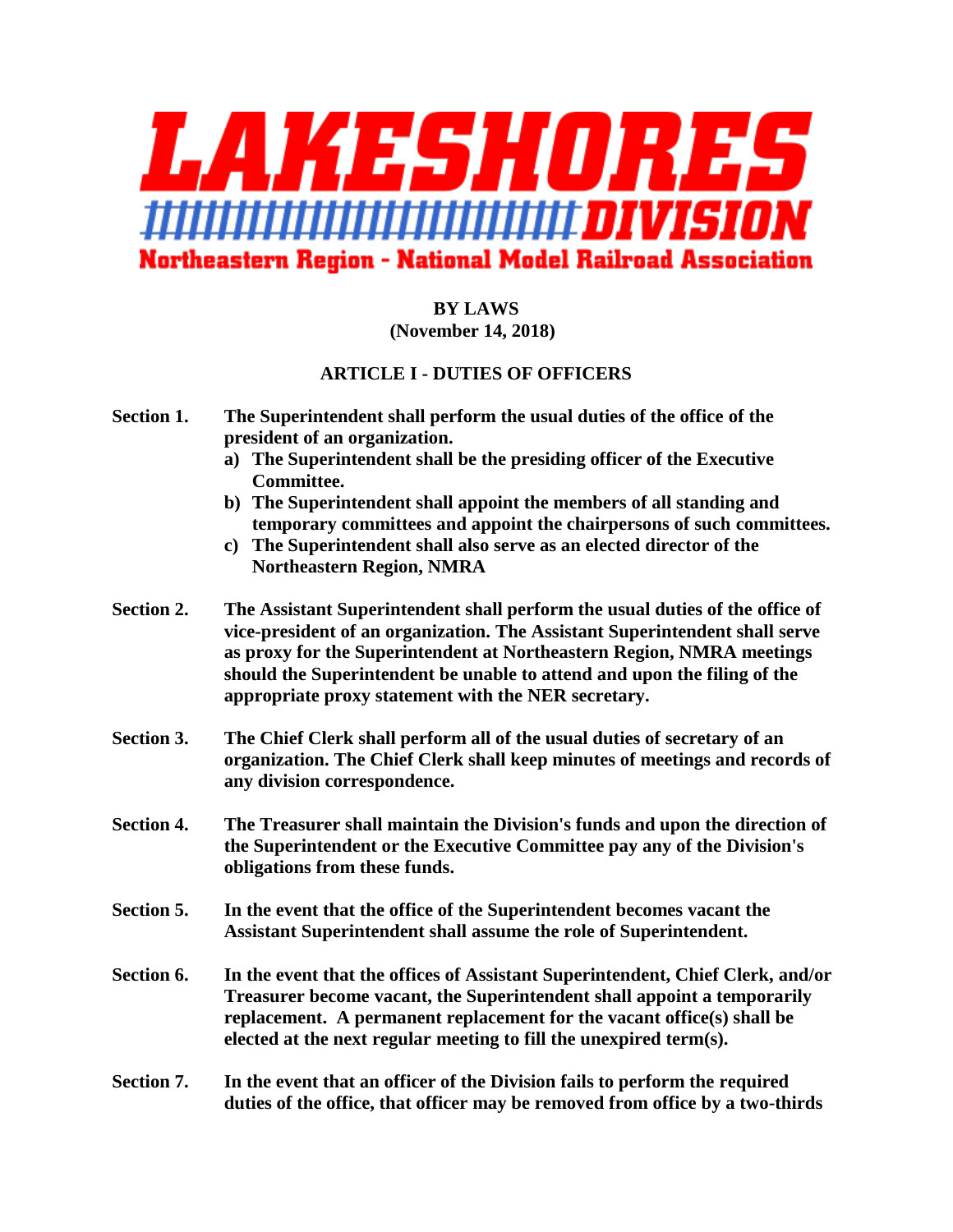

# **BY LAWS (November 14, 2018)**

# **ARTICLE I - DUTIES OF OFFICERS**

- **Section 1. The Superintendent shall perform the usual duties of the office of the president of an organization.**
	- **a) The Superintendent shall be the presiding officer of the Executive Committee.**
	- **b) The Superintendent shall appoint the members of all standing and temporary committees and appoint the chairpersons of such committees.**
	- **c) The Superintendent shall also serve as an elected director of the Northeastern Region, NMRA**
- **Section 2. The Assistant Superintendent shall perform the usual duties of the office of vice-president of an organization. The Assistant Superintendent shall serve as proxy for the Superintendent at Northeastern Region, NMRA meetings should the Superintendent be unable to attend and upon the filing of the appropriate proxy statement with the NER secretary.**
- **Section 3. The Chief Clerk shall perform all of the usual duties of secretary of an organization. The Chief Clerk shall keep minutes of meetings and records of any division correspondence.**
- **Section 4. The Treasurer shall maintain the Division's funds and upon the direction of the Superintendent or the Executive Committee pay any of the Division's obligations from these funds.**
- **Section 5. In the event that the office of the Superintendent becomes vacant the Assistant Superintendent shall assume the role of Superintendent.**
- **Section 6. In the event that the offices of Assistant Superintendent, Chief Clerk, and/or Treasurer become vacant, the Superintendent shall appoint a temporarily replacement. A permanent replacement for the vacant office(s) shall be elected at the next regular meeting to fill the unexpired term(s).**
- **Section 7. In the event that an officer of the Division fails to perform the required duties of the office, that officer may be removed from office by a two-thirds**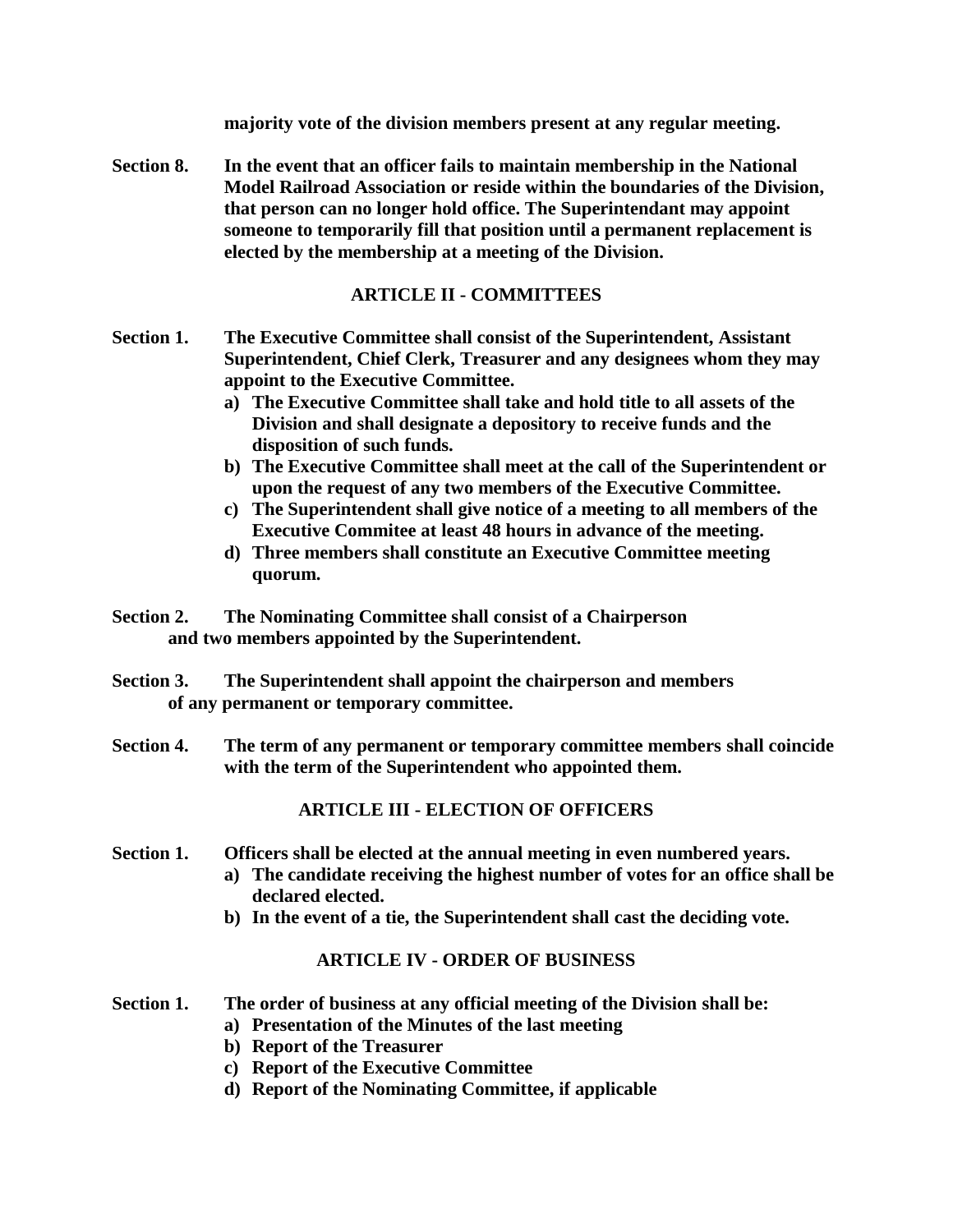**majority vote of the division members present at any regular meeting.** 

**Section 8. In the event that an officer fails to maintain membership in the National Model Railroad Association or reside within the boundaries of the Division, that person can no longer hold office. The Superintendant may appoint someone to temporarily fill that position until a permanent replacement is elected by the membership at a meeting of the Division.**

# **ARTICLE II - COMMITTEES**

- **Section 1. The Executive Committee shall consist of the Superintendent, Assistant Superintendent, Chief Clerk, Treasurer and any designees whom they may appoint to the Executive Committee.**
	- **a) The Executive Committee shall take and hold title to all assets of the Division and shall designate a depository to receive funds and the disposition of such funds.**
	- **b) The Executive Committee shall meet at the call of the Superintendent or upon the request of any two members of the Executive Committee.**
	- **c) The Superintendent shall give notice of a meeting to all members of the Executive Commitee at least 48 hours in advance of the meeting.**
	- **d) Three members shall constitute an Executive Committee meeting quorum.**
- **Section 2. The Nominating Committee shall consist of a Chairperson and two members appointed by the Superintendent.**
- **Section 3. The Superintendent shall appoint the chairperson and members of any permanent or temporary committee.**
- **Section 4. The term of any permanent or temporary committee members shall coincide with the term of the Superintendent who appointed them.**

# **ARTICLE III - ELECTION OF OFFICERS**

### **Section 1. Officers shall be elected at the annual meeting in even numbered years.**

- **a) The candidate receiving the highest number of votes for an office shall be declared elected.**
- **b) In the event of a tie, the Superintendent shall cast the deciding vote.**

# **ARTICLE IV - ORDER OF BUSINESS**

# **Section 1. The order of business at any official meeting of the Division shall be:**

- **a) Presentation of the Minutes of the last meeting**
- **b) Report of the Treasurer**
- **c) Report of the Executive Committee**
- **d) Report of the Nominating Committee, if applicable**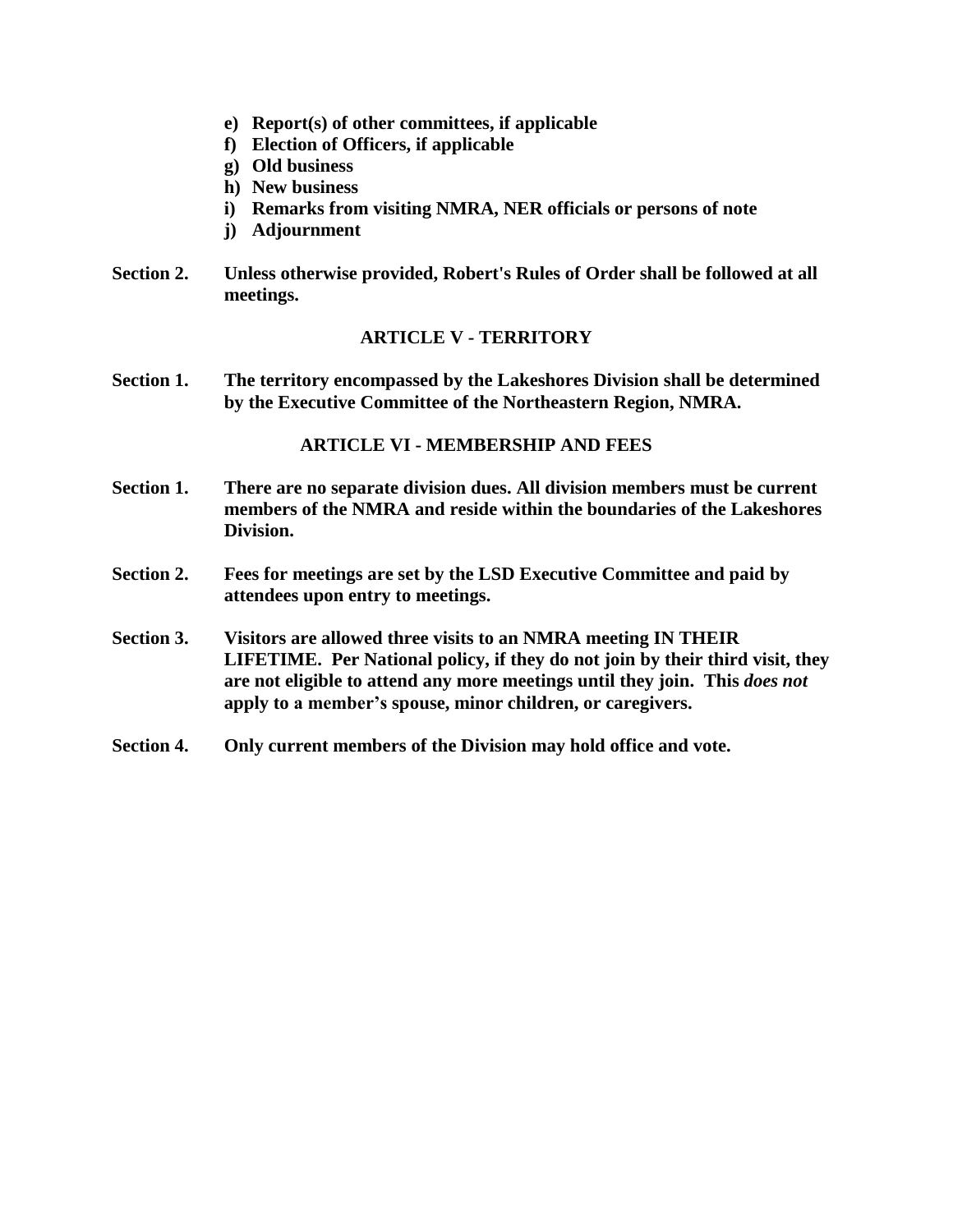- **e) Report(s) of other committees, if applicable**
- **f) Election of Officers, if applicable**
- **g) Old business**
- **h) New business**
- **i) Remarks from visiting NMRA, NER officials or persons of note**
- **j) Adjournment**
- **Section 2. Unless otherwise provided, Robert's Rules of Order shall be followed at all meetings.**

### **ARTICLE V - TERRITORY**

**Section 1. The territory encompassed by the Lakeshores Division shall be determined by the Executive Committee of the Northeastern Region, NMRA.**

### **ARTICLE VI - MEMBERSHIP AND FEES**

- **Section 1. There are no separate division dues. All division members must be current members of the NMRA and reside within the boundaries of the Lakeshores Division.**
- **Section 2. Fees for meetings are set by the LSD Executive Committee and paid by attendees upon entry to meetings.**
- **Section 3. Visitors are allowed three visits to an NMRA meeting IN THEIR LIFETIME. Per National policy, if they do not join by their third visit, they are not eligible to attend any more meetings until they join. This** *does not* **apply to a member's spouse, minor children, or caregivers.**
- **Section 4. Only current members of the Division may hold office and vote.**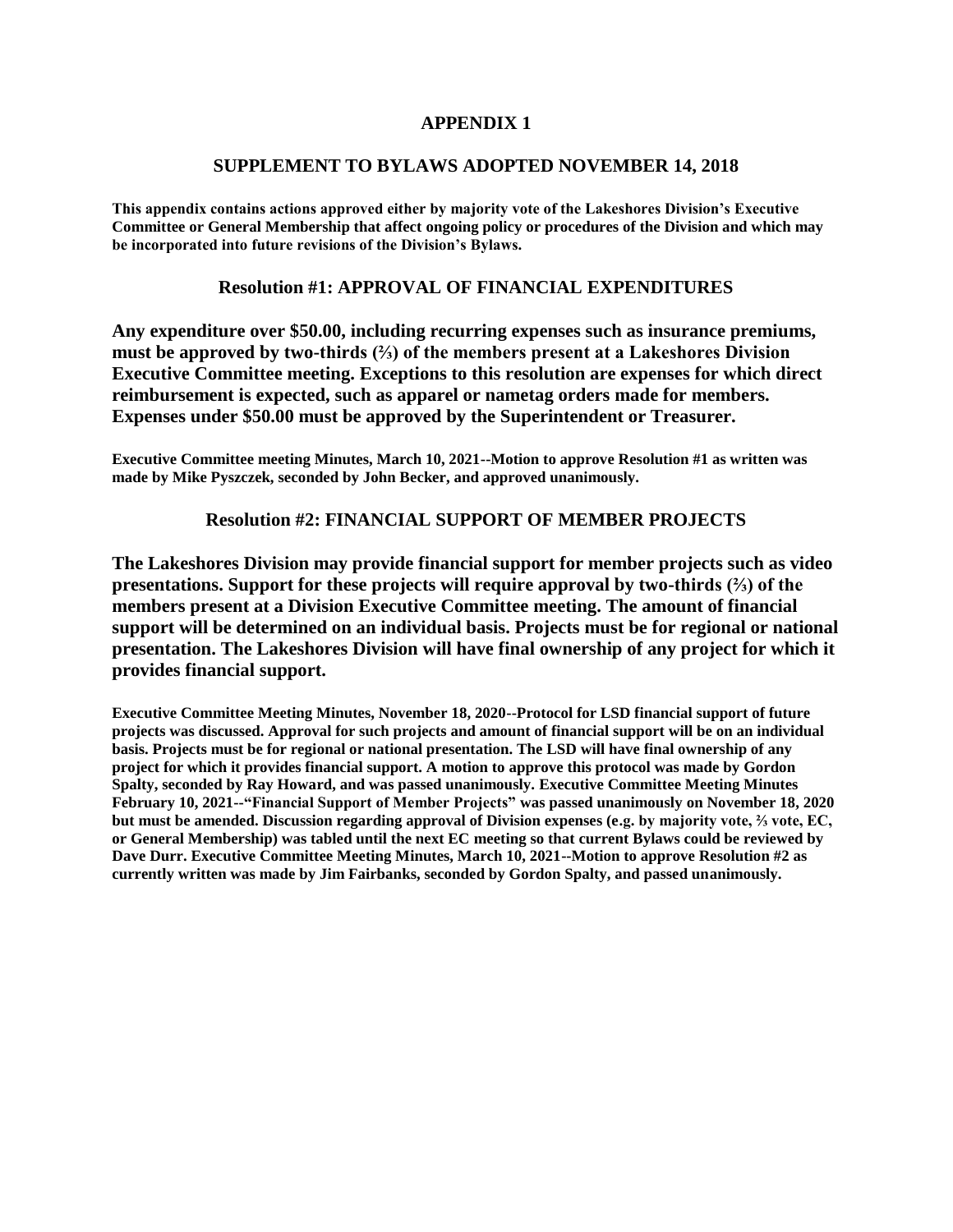### **APPENDIX 1**

#### **SUPPLEMENT TO BYLAWS ADOPTED NOVEMBER 14, 2018**

**This appendix contains actions approved either by majority vote of the Lakeshores Division's Executive Committee or General Membership that affect ongoing policy or procedures of the Division and which may be incorporated into future revisions of the Division's Bylaws.**

#### **Resolution #1: APPROVAL OF FINANCIAL EXPENDITURES**

**Any expenditure over \$50.00, including recurring expenses such as insurance premiums, must be approved by two-thirds (⅔) of the members present at a Lakeshores Division Executive Committee meeting. Exceptions to this resolution are expenses for which direct reimbursement is expected, such as apparel or nametag orders made for members. Expenses under \$50.00 must be approved by the Superintendent or Treasurer.**

**Executive Committee meeting Minutes, March 10, 2021--Motion to approve Resolution #1 as written was made by Mike Pyszczek, seconded by John Becker, and approved unanimously.**

#### **Resolution #2: FINANCIAL SUPPORT OF MEMBER PROJECTS**

**The Lakeshores Division may provide financial support for member projects such as video presentations. Support for these projects will require approval by two-thirds (⅔) of the members present at a Division Executive Committee meeting. The amount of financial support will be determined on an individual basis. Projects must be for regional or national presentation. The Lakeshores Division will have final ownership of any project for which it provides financial support.**

**Executive Committee Meeting Minutes, November 18, 2020--Protocol for LSD financial support of future projects was discussed. Approval for such projects and amount of financial support will be on an individual basis. Projects must be for regional or national presentation. The LSD will have final ownership of any project for which it provides financial support. A motion to approve this protocol was made by Gordon Spalty, seconded by Ray Howard, and was passed unanimously. Executive Committee Meeting Minutes February 10, 2021--"Financial Support of Member Projects" was passed unanimously on November 18, 2020 but must be amended. Discussion regarding approval of Division expenses (e.g. by majority vote, ⅔ vote, EC, or General Membership) was tabled until the next EC meeting so that current Bylaws could be reviewed by Dave Durr. Executive Committee Meeting Minutes, March 10, 2021--Motion to approve Resolution #2 as currently written was made by Jim Fairbanks, seconded by Gordon Spalty, and passed unanimously.**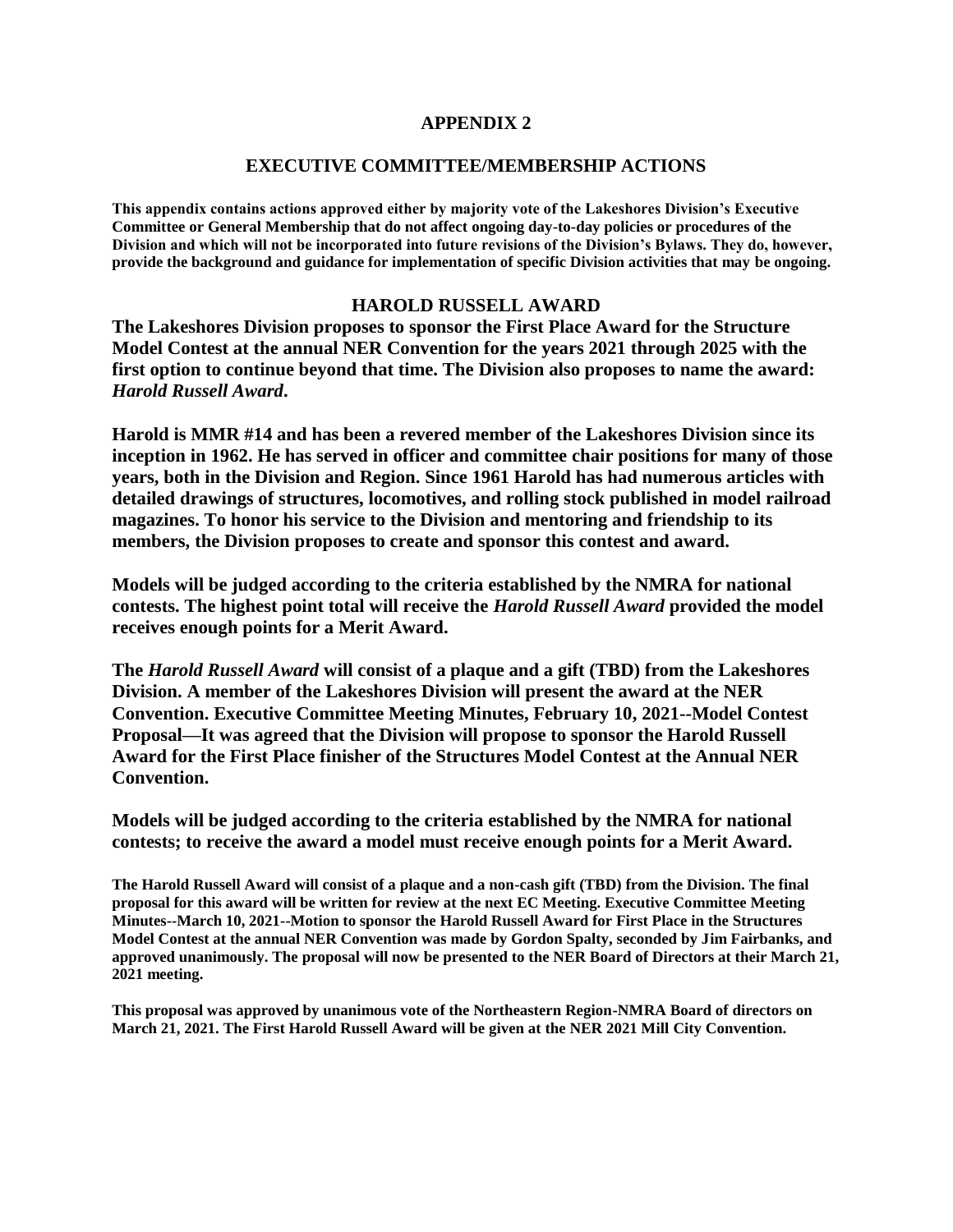### **APPENDIX 2**

#### **EXECUTIVE COMMITTEE/MEMBERSHIP ACTIONS**

**This appendix contains actions approved either by majority vote of the Lakeshores Division's Executive Committee or General Membership that do not affect ongoing day-to-day policies or procedures of the Division and which will not be incorporated into future revisions of the Division's Bylaws. They do, however, provide the background and guidance for implementation of specific Division activities that may be ongoing.**

#### **HAROLD RUSSELL AWARD**

**The Lakeshores Division proposes to sponsor the First Place Award for the Structure Model Contest at the annual NER Convention for the years 2021 through 2025 with the first option to continue beyond that time. The Division also proposes to name the award:**  *Harold Russell Award***.**

**Harold is MMR #14 and has been a revered member of the Lakeshores Division since its inception in 1962. He has served in officer and committee chair positions for many of those years, both in the Division and Region. Since 1961 Harold has had numerous articles with detailed drawings of structures, locomotives, and rolling stock published in model railroad magazines. To honor his service to the Division and mentoring and friendship to its members, the Division proposes to create and sponsor this contest and award.**

**Models will be judged according to the criteria established by the NMRA for national contests. The highest point total will receive the** *Harold Russell Award* **provided the model receives enough points for a Merit Award.**

**The** *Harold Russell Award* **will consist of a plaque and a gift (TBD) from the Lakeshores Division. A member of the Lakeshores Division will present the award at the NER Convention. Executive Committee Meeting Minutes, February 10, 2021--Model Contest Proposal—It was agreed that the Division will propose to sponsor the Harold Russell Award for the First Place finisher of the Structures Model Contest at the Annual NER Convention.**

**Models will be judged according to the criteria established by the NMRA for national contests; to receive the award a model must receive enough points for a Merit Award.**

**The Harold Russell Award will consist of a plaque and a non-cash gift (TBD) from the Division. The final proposal for this award will be written for review at the next EC Meeting. Executive Committee Meeting Minutes--March 10, 2021--Motion to sponsor the Harold Russell Award for First Place in the Structures Model Contest at the annual NER Convention was made by Gordon Spalty, seconded by Jim Fairbanks, and approved unanimously. The proposal will now be presented to the NER Board of Directors at their March 21, 2021 meeting.**

**This proposal was approved by unanimous vote of the Northeastern Region-NMRA Board of directors on March 21, 2021. The First Harold Russell Award will be given at the NER 2021 Mill City Convention.**